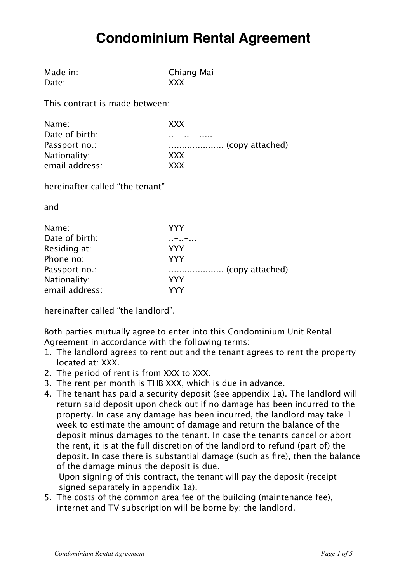# **Condominium Rental Agreement**

| Made in: | Chia |
|----------|------|
| Date:    | XXX  |

Chiang Mai

This contract is made between:

| Name:          | XXX        |
|----------------|------------|
| Date of birth: | $ -$       |
| Passport no.:  |            |
| Nationality:   | XXX        |
| email address: | <b>XXX</b> |

hereinafter called "the tenant"

and

| Name:          | YYY |
|----------------|-----|
| Date of birth: |     |
| Residing at:   | YYY |
| Phone no:      | YYY |
| Passport no.:  |     |
| Nationality:   | YYY |
| email address: | VVV |

hereinafter called "the landlord".

Both parties mutually agree to enter into this Condominium Unit Rental Agreement in accordance with the following terms:

- 1. The landlord agrees to rent out and the tenant agrees to rent the property located at: XXX.
- 2. The period of rent is from XXX to XXX.
- 3. The rent per month is THB XXX, which is due in advance.
- 4. The tenant has paid a security deposit (see appendix 1a). The landlord will return said deposit upon check out if no damage has been incurred to the property. In case any damage has been incurred, the landlord may take 1 week to estimate the amount of damage and return the balance of the deposit minus damages to the tenant. In case the tenants cancel or abort the rent, it is at the full discretion of the landlord to refund (part of) the deposit. In case there is substantial damage (such as fire), then the balance of the damage minus the deposit is due.

Upon signing of this contract, the tenant will pay the deposit (receipt signed separately in appendix 1a).

5. The costs of the common area fee of the building (maintenance fee), internet and TV subscription will be borne by: the landlord.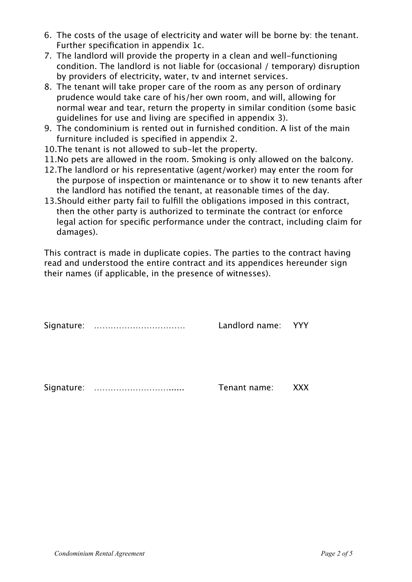- 6. The costs of the usage of electricity and water will be borne by: the tenant. Further specification in appendix 1c.
- 7. The landlord will provide the property in a clean and well-functioning condition. The landlord is not liable for (occasional / temporary) disruption by providers of electricity, water, tv and internet services.
- 8. The tenant will take proper care of the room as any person of ordinary prudence would take care of his/her own room, and will, allowing for normal wear and tear, return the property in similar condition (some basic guidelines for use and living are specified in appendix 3).
- 9. The condominium is rented out in furnished condition. A list of the main furniture included is specified in appendix 2.
- 10.The tenant is not allowed to sub-let the property.
- 11.No pets are allowed in the room. Smoking is only allowed on the balcony.
- 12.The landlord or his representative (agent/worker) may enter the room for the purpose of inspection or maintenance or to show it to new tenants after the landlord has notified the tenant, at reasonable times of the day.
- 13.Should either party fail to fulfill the obligations imposed in this contract, then the other party is authorized to terminate the contract (or enforce legal action for specific performance under the contract, including claim for damages).

This contract is made in duplicate copies. The parties to the contract having read and understood the entire contract and its appendices hereunder sign their names (if applicable, in the presence of witnesses).

Signature: …………………………… Landlord name: YYY

Signature: ………………………...... Tenant name: XXX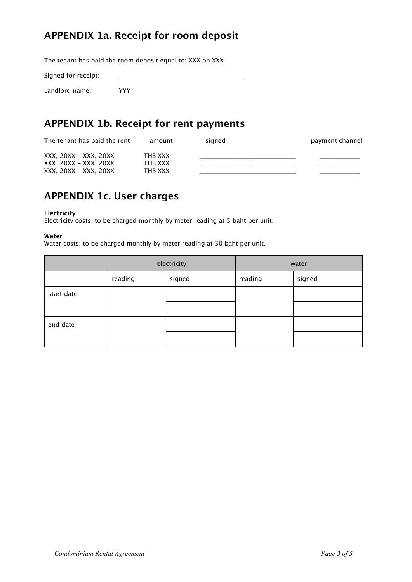## **APPENDIX 1a. Receipt for room deposit**

The tenant has paid the room deposit equal to: XXX on XXX.

Signed for receipt:

Landlord name: YYY

### **APPENDIX 1b. Receipt for rent payments**

| The tenant has paid the rent | amount  | sianed | payment channel |
|------------------------------|---------|--------|-----------------|
| XXX, 20XX – XXX, 20XX        | THB XXX |        |                 |
| XXX, 20XX – XXX, 20XX        | THB XXX |        |                 |
| XXX, 20XX – XXX, 20XX        | THB XXX |        |                 |

# **APPENDIX 1c. User charges**

#### **Electricity**

Electricity costs: to be charged monthly by meter reading at 5 baht per unit.

#### **Water**

Water costs: to be charged monthly by meter reading at 30 baht per unit.

|            | electricity |        | water   |        |
|------------|-------------|--------|---------|--------|
|            | reading     | signed | reading | signed |
| start date |             |        |         |        |
|            |             |        |         |        |
| end date   |             |        |         |        |
|            |             |        |         |        |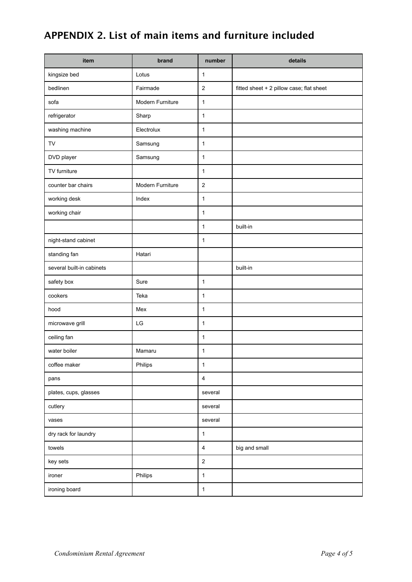# **APPENDIX 2. List of main items and furniture included**

| item                      | brand            | number                  | details                                  |
|---------------------------|------------------|-------------------------|------------------------------------------|
| kingsize bed              | Lotus            | $\mathbf{1}$            |                                          |
| bedlinen                  | Fairmade         | $\overline{2}$          | fitted sheet + 2 pillow case; flat sheet |
| sofa                      | Modern Furniture | $\mathbf{1}$            |                                          |
| refrigerator              | Sharp            | $\mathbf{1}$            |                                          |
| washing machine           | Electrolux       | $\mathbf{1}$            |                                          |
| TV                        | Samsung          | $\mathbf{1}$            |                                          |
| DVD player                | Samsung          | $\mathbf{1}$            |                                          |
| TV furniture              |                  | $\mathbf{1}$            |                                          |
| counter bar chairs        | Modern Furniture | $\overline{2}$          |                                          |
| working desk              | Index            | $\mathbf{1}$            |                                          |
| working chair             |                  | $\mathbf{1}$            |                                          |
|                           |                  | $\mathbf{1}$            | built-in                                 |
| night-stand cabinet       |                  | $\mathbf{1}$            |                                          |
| standing fan              | Hatari           |                         |                                          |
| several built-in cabinets |                  |                         | built-in                                 |
| safety box                | Sure             | $\mathbf{1}$            |                                          |
| cookers                   | Teka             | $\mathbf{1}$            |                                          |
| hood                      | Mex              | $\mathbf{1}$            |                                          |
| microwave grill           | LG               | $\mathbf{1}$            |                                          |
| ceiling fan               |                  | $\mathbf{1}$            |                                          |
| water boiler              | Mamaru           | $\mathbf{1}$            |                                          |
| coffee maker              | Philips          | $\mathbf{1}$            |                                          |
| pans                      |                  | $\overline{4}$          |                                          |
| plates, cups, glasses     |                  | several                 |                                          |
| cutlery                   |                  | several                 |                                          |
| vases                     |                  | several                 |                                          |
| dry rack for laundry      |                  | $\mathbf{1}$            |                                          |
| towels                    |                  | $\overline{\mathbf{4}}$ | big and small                            |
| key sets                  |                  | $\boldsymbol{2}$        |                                          |
| ironer                    | Philips          | $\mathbf{1}$            |                                          |
| ironing board             |                  | $\mathbf{1}$            |                                          |